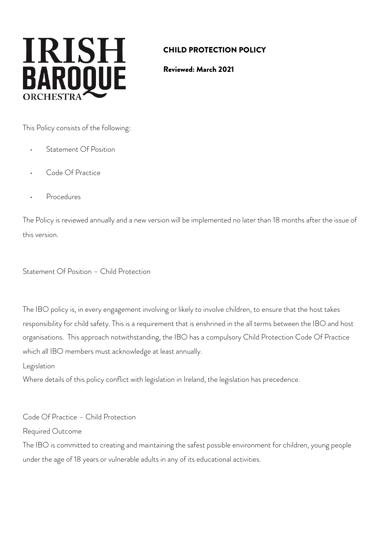# **IRISH BAROOUE**

# CHILD PROTECTION POLICY

Reviewed: March 2021

This Policy consists of the following:

- Statement Of Position
- Code Of Practice
- **Procedures**

The Policy is reviewed annually and a new version will be implemented no later than 18 months after the issue of this version.

Statement Of Position – Child Protection

The IBO policy is, in every engagement involving or likely to involve children, to ensure that the host takes responsibility for child safety. This is a requirement that is enshrined in the all terms between the IBO and host organisations. This approach notwithstanding, the IBO has a compulsory Child Protection Code Of Practice which all IBO members must acknowledge at least annually.

Legislation

Where details of this policy conflict with legislation in Ireland, the legislation has precedence.

Code Of Practice – Child Protection

Required Outcome

The IBO is committed to creating and maintaining the safest possible environment for children, young people under the age of 18 years or vulnerable adults in any of its educational activities.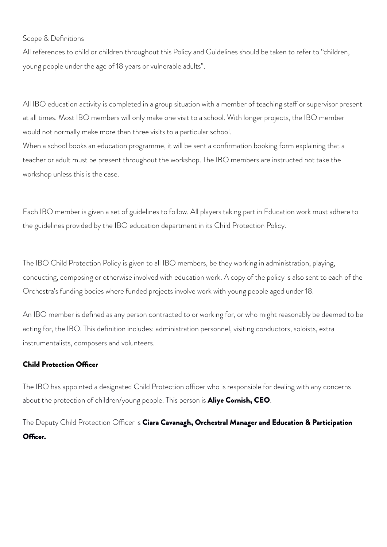#### Scope & Definitions

All references to child or children throughout this Policy and Guidelines should be taken to refer to "children, young people under the age of 18 years or vulnerable adults".

All IBO education activity is completed in a group situation with a member of teaching staff or supervisor present at all times. Most IBO members will only make one visit to a school. With longer projects, the IBO member would not normally make more than three visits to a particular school.

When a school books an education programme, it will be sent a confirmation booking form explaining that a teacher or adult must be present throughout the workshop. The IBO members are instructed not take the workshop unless this is the case.

Each IBO member is given a set of guidelines to follow. All players taking part in Education work must adhere to the guidelines provided by the IBO education department in its Child Protection Policy.

The IBO Child Protection Policy is given to all IBO members, be they working in administration, playing, conducting, composing or otherwise involved with education work. A copy of the policy is also sent to each of the Orchestra's funding bodies where funded projects involve work with young people aged under 18.

An IBO member is defined as any person contracted to or working for, or who might reasonably be deemed to be acting for, the IBO. This definition includes: administration personnel, visiting conductors, soloists, extra instrumentalists, composers and volunteers.

#### **Child Protection Officer**

The IBO has appointed a designated Child Protection officer who is responsible for dealing with any concerns about the protection of children/young people. This person is **Aliye Cornish, CEO**.

The Deputy Child Protection Officer is Ciara Cavanagh, Orchestral Manager and Education & Participation Officer.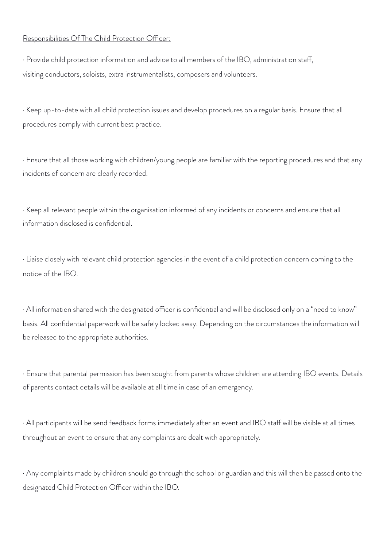#### Responsibilities Of The Child Protection Officer:

· Provide child protection information and advice to all members of the IBO, administration staf, visiting conductors, soloists, extra instrumentalists, composers and volunteers.

· Keep up-to-date with all child protection issues and develop procedures on a regular basis. Ensure that all procedures comply with current best practice.

· Ensure that all those working with children/young people are familiar with the reporting procedures and that any incidents of concern are clearly recorded.

· Keep all relevant people within the organisation informed of any incidents or concerns and ensure that all information disclosed is confidential.

· Liaise closely with relevant child protection agencies in the event of a child protection concern coming to the notice of the IBO.

· All information shared with the designated officer is confidential and will be disclosed only on a "need to know" basis. All confidential paperwork will be safely locked away. Depending on the circumstances the information will be released to the appropriate authorities.

· Ensure that parental permission has been sought from parents whose children are attending IBO events. Details of parents contact details will be available at all time in case of an emergency.

· All participants will be send feedback forms immediately after an event and IBO staf will be visible at all times throughout an event to ensure that any complaints are dealt with appropriately.

· Any complaints made by children should go through the school or guardian and this will then be passed onto the designated Child Protection Officer within the IBO.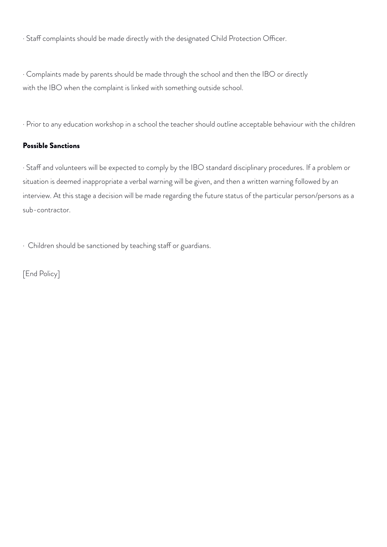· Staff complaints should be made directly with the designated Child Protection Officer.

· Complaints made by parents should be made through the school and then the IBO or directly with the IBO when the complaint is linked with something outside school.

· Prior to any education workshop in a school the teacher should outline acceptable behaviour with the children

### Possible Sanctions

· Staf and volunteers will be expected to comply by the IBO standard disciplinary procedures. If a problem or situation is deemed inappropriate a verbal warning will be given, and then a written warning followed by an interview. At this stage a decision will be made regarding the future status of the particular person/persons as a sub-contractor.

· Children should be sanctioned by teaching staff or guardians.

[End Policy]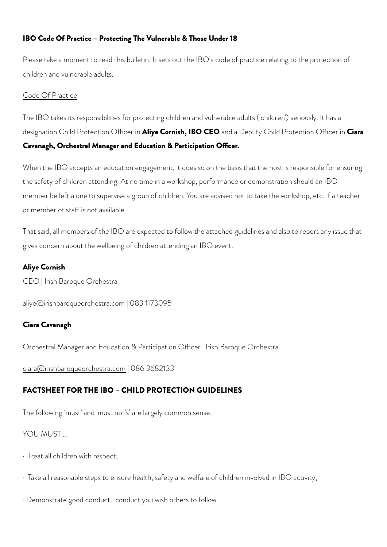# IBO Code Of Practice – Protecting The Vulnerable & Those Under 18

Please take a moment to read this bulletin. It sets out the IBO's code of practice relating to the protection of children and vulnerable adults.

#### Code Of Practice

The IBO takes its responsibilities for protecting children and vulnerable adults ('children') seriously. It has a designation Child Protection Officer in **Aliye Cornish, IBO CEO** and a Deputy Child Protection Officer in Ciara Cavanagh, Orchestral Manager and Education & Participation Officer.

When the IBO accepts an education engagement, it does so on the basis that the host is responsible for ensuring the safety of children attending. At no time in a workshop, performance or demonstration should an IBO member be left alone to supervise a group of children. You are advised not to take the workshop, etc. if a teacher or member of staff is not available.

That said, all members of the IBO are expected to follow the attached guidelines and also to report any issue that gives concern about the wellbeing of children attending an IBO event.

#### Aliye Cornish

CEO | Irish Baroque Orchestra

[aliye@irishbaroqueorchestra.com](mailto:aliye@irishbaroqueorchestra.com) | 083 1173095

# Ciara Cavanagh

Orchestral Manager and Education & Participation Officer | Irish Baroque Orchestra

[ciara@irishbaroqueorchestra.com](mailto:ciara@irishbaroqueorchestra.com) | 086 3682133

# FACTSHEET FOR THE IBO – CHILD PROTECTION GUIDELINES

The following 'must' and 'must not's' are largely common sense.

# YOU MUST...

- · Treat all children with respect;
- $\cdot$  Take all reasonable steps to ensure health, safety and welfare of children involved in IBO activity;
- · Demonstrate good conduct–conduct you wish others to follow.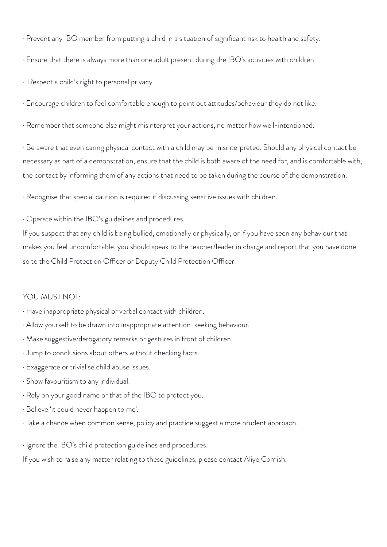· Prevent any IBO member from putting a child in a situation of significant risk to health and safety.

· Ensure that there is always more than one adult present during the IBO's activities with children.

· Respect a child's right to personal privacy.

· Encourage children to feel comfortable enough to point out attitudes/behaviour they do not like.

· Remember that someone else might misinterpret your actions, no matter how well-intentioned.

· Be aware that even caring physical contact with a child may be misinterpreted. Should any physical contact be necessary as part of a demonstration, ensure that the child is both aware of the need for, and is comfortable with, the contact by informing them of any actions that need to be taken during the course of the demonstration.

· Recognise that special caution is required if discussing sensitive issues with children.

· Operate within the IBO's guidelines and procedures.

If you suspect that any child is being bullied, emotionally or physically, or if you have seen any behaviour that makes you feel uncomfortable, you should speak to the teacher/leader in charge and report that you have done so to the Child Protection Officer or Deputy Child Protection Officer.

#### YOU MUST NOT:

- · Have inappropriate physical or verbal contact with children.
- · Allow yourself to be drawn into inappropriate attention-seeking behaviour.
- · Make suggestive/derogatory remarks or gestures in front of children.
- · Jump to conclusions about others without checking facts.
- · Exaggerate or trivialise child abuse issues.
- · Show favouritism to any individual.
- · Rely on your good name or that of the IBO to protect you.
- · Believe 'it could never happen to me'.
- · Take a chance when common sense, policy and practice suggest a more prudent approach.
- · Ignore the IBO's child protection guidelines and procedures.

If you wish to raise any matter relating to these guidelines, please contact Aliye Cornish.